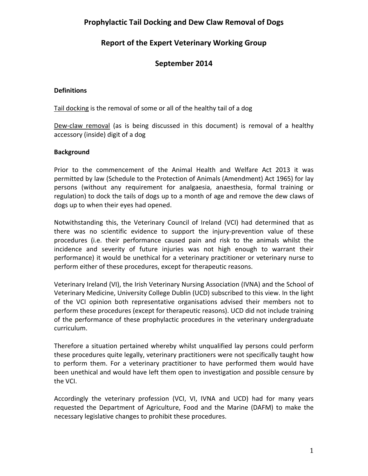# **Prophylactic Tail Docking and Dew Claw Removal of Dogs**

# **Report of the Expert Veterinary Working Group**

# **September 2014**

## **Definitions**

Tail docking is the removal of some or all of the healthy tail of a dog

Dew-claw removal (as is being discussed in this document) is removal of a healthy accessory (inside) digit of a dog

## **Background**

Prior to the commencement of the Animal Health and Welfare Act 2013 it was permitted by law (Schedule to the Protection of Animals (Amendment) Act 1965) for lay persons (without any requirement for analgaesia, anaesthesia, formal training or regulation) to dock the tails of dogs up to a month of age and remove the dew claws of dogs up to when their eyes had opened.

Notwithstanding this, the Veterinary Council of Ireland (VCI) had determined that as there was no scientific evidence to support the injury-prevention value of these procedures (i.e. their performance caused pain and risk to the animals whilst the incidence and severity of future injuries was not high enough to warrant their performance) it would be unethical for a veterinary practitioner or veterinary nurse to perform either of these procedures, except for therapeutic reasons.

Veterinary Ireland (VI), the Irish Veterinary Nursing Association (IVNA) and the School of Veterinary Medicine, University College Dublin (UCD) subscribed to this view. In the light of the VCI opinion both representative organisations advised their members not to perform these procedures (except for therapeutic reasons). UCD did not include training of the performance of these prophylactic procedures in the veterinary undergraduate curriculum.

Therefore a situation pertained whereby whilst unqualified lay persons could perform these procedures quite legally, veterinary practitioners were not specifically taught how to perform them. For a veterinary practitioner to have performed them would have been unethical and would have left them open to investigation and possible censure by the VCI.

Accordingly the veterinary profession (VCI, VI, IVNA and UCD) had for many years requested the Department of Agriculture, Food and the Marine (DAFM) to make the necessary legislative changes to prohibit these procedures.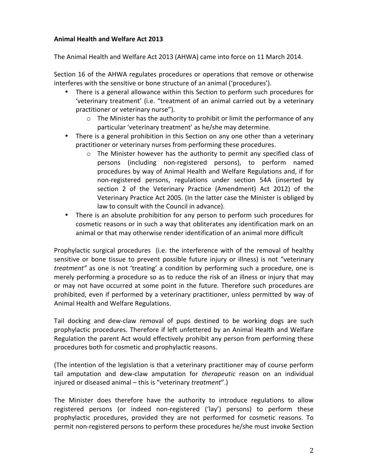## **Animal Health and Welfare Act 2013**

The Animal Health and Welfare Act 2013 (AHWA) came into force on 11 March 2014.

Section 16 of the AHWA regulates procedures or operations that remove or otherwise interferes with the sensitive or bone structure of an animal ('procedures').

- There is a general allowance within this Section to perform such procedures for 'veterinary treatment' (i.e. "treatment of an animal carried out by a veterinary practitioner or veterinary nurse").
	- $\circ$  The Minister has the authority to prohibit or limit the performance of any particular 'veterinary treatment' as he/she may determine.
- There is a general prohibition in this Section on any one other than a veterinary practitioner or veterinary nurses from performing these procedures.
	- $\circ$  The Minister however has the authority to permit any specified class of persons (including non-registered persons), to perform named procedures by way of Animal Health and Welfare Regulations and, if for non-registered persons, regulations under section 54A (inserted by section 2 of the Veterinary Practice (Amendment) Act 2012) of the Veterinary Practice Act 2005. (In the latter case the Minister is obliged by law to consult with the Council in advance).
- There is an absolute prohibition for any person to perform such procedures for cosmetic reasons or in such a way that obliterates any identification mark on an animal or that may otherwise render identification of an animal more difficult

Prophylactic surgical procedures (i.e. the interference with of the removal of healthy sensitive or bone tissue to prevent possible future injury or illness) is not "veterinary *treatment*" as one is not 'treating' a condition by performing such a procedure, one is merely performing a procedure so as to reduce the risk of an illness or injury that may or may not have occurred at some point in the future. Therefore such procedures are prohibited, even if performed by a veterinary practitioner, unless permitted by way of Animal Health and Welfare Regulations.

Tail docking and dew-claw removal of pups destined to be working dogs are such prophylactic procedures. Therefore if left unfettered by an Animal Health and Welfare Regulation the parent Act would effectively prohibit any person from performing these procedures both for cosmetic and prophylactic reasons.

(The intention of the legislation is that a veterinary practitioner may of course perform tail amputation and dew-claw amputation for *therapeutic* reason on an individual injured or diseased animal – this is "veterinary *treatment*".)

The Minister does therefore have the authority to introduce regulations to allow registered persons (or indeed non-registered ('lay') persons) to perform these prophylactic procedures, provided they are not performed for cosmetic reasons. To permit non-registered persons to perform these procedures he/she must invoke Section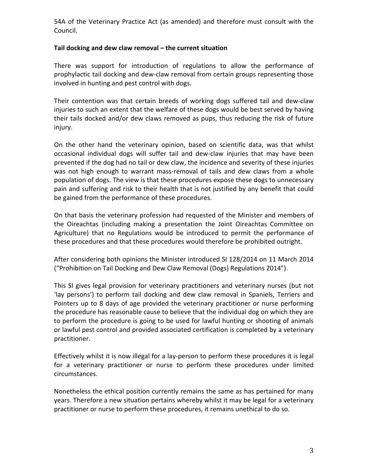54A of the Veterinary Practice Act (as amended) and therefore must consult with the Council.

## Tail docking and dew claw removal – the current situation

There was support for introduction of regulations to allow the performance of prophylactic tail docking and dew-claw removal from certain groups representing those involved in hunting and pest control with dogs.

Their contention was that certain breeds of working dogs suffered tail and dew-claw injuries to such an extent that the welfare of these dogs would be best served by having their tails docked and/or dew claws removed as pups, thus reducing the risk of future injury.

On the other hand the veterinary opinion, based on scientific data, was that whilst occasional individual dogs will suffer tail and dew-claw injuries that may have been prevented if the dog had no tail or dew claw, the incidence and severity of these injuries was not high enough to warrant mass-removal of tails and dew claws from a whole population of dogs. The view is that these procedures expose these dogs to unnecessary pain and suffering and risk to their health that is not justified by any benefit that could be gained from the performance of these procedures.

On that basis the veterinary profession had requested of the Minister and members of the Oireachtas (including making a presentation the Joint Oireachtas Committee on Agriculture) that no Regulations would be introduced to permit the performance of these procedures and that these procedures would therefore be prohibited outright.

After considering both opinions the Minister introduced SI 128/2014 on 11 March 2014 ("Prohibition on Tail Docking and Dew Claw Removal (Dogs) Regulations 2014").

This SI gives legal provision for veterinary practitioners and veterinary nurses (but not 'lay persons') to perform tail docking and dew claw removal in Spaniels, Terriers and Pointers up to 8 days of age provided the veterinary practitioner or nurse performing the procedure has reasonable cause to believe that the individual dog on which they are to perform the procedure is going to be used for lawful hunting or shooting of animals or lawful pest control and provided associated certification is completed by a veterinary practitioner. 

Effectively whilst it is now illegal for a lay-person to perform these procedures it is legal for a veterinary practitioner or nurse to perform these procedures under limited circumstances. 

Nonetheless the ethical position currently remains the same as has pertained for many years. Therefore a new situation pertains whereby whilst it may be legal for a veterinary practitioner or nurse to perform these procedures, it remains unethical to do so.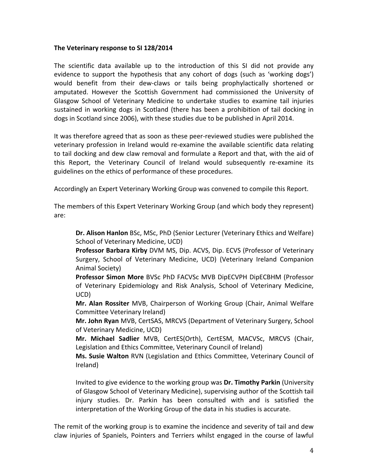### The Veterinary response to SI 128/2014

The scientific data available up to the introduction of this SI did not provide any evidence to support the hypothesis that any cohort of dogs (such as 'working dogs') would benefit from their dew-claws or tails being prophylactically shortened or amputated. However the Scottish Government had commissioned the University of Glasgow School of Veterinary Medicine to undertake studies to examine tail injuries sustained in working dogs in Scotland (there has been a prohibition of tail docking in dogs in Scotland since 2006), with these studies due to be published in April 2014.

It was therefore agreed that as soon as these peer-reviewed studies were published the veterinary profession in Ireland would re-examine the available scientific data relating to tail docking and dew claw removal and formulate a Report and that, with the aid of this Report, the Veterinary Council of Ireland would subsequently re-examine its guidelines on the ethics of performance of these procedures.

Accordingly an Expert Veterinary Working Group was convened to compile this Report.

The members of this Expert Veterinary Working Group (and which body they represent) are:

**Dr. Alison Hanlon** BSc, MSc, PhD (Senior Lecturer (Veterinary Ethics and Welfare) School of Veterinary Medicine, UCD)

**Professor Barbara Kirby** DVM MS, Dip. ACVS, Dip. ECVS (Professor of Veterinary Surgery, School of Veterinary Medicine, UCD) (Veterinary Ireland Companion Animal Society)

**Professor Simon More** BVSc PhD FACVSc MVB DipECVPH DipECBHM (Professor of Veterinary Epidemiology and Risk Analysis, School of Veterinary Medicine, UCD)

**Mr. Alan Rossiter** MVB, Chairperson of Working Group (Chair, Animal Welfare Committee Veterinary Ireland) 

**Mr. John Ryan** MVB, CertSAS, MRCVS (Department of Veterinary Surgery, School of Veterinary Medicine, UCD)

**Mr. Michael Sadlier** MVB, CertES(Orth), CertESM, MACVSc, MRCVS (Chair, Legislation and Ethics Committee, Veterinary Council of Ireland)

**Ms. Susie Walton** RVN (Legislation and Ethics Committee, Veterinary Council of Ireland)

Invited to give evidence to the working group was Dr. Timothy Parkin (University of Glasgow School of Veterinary Medicine), supervising author of the Scottish tail injury studies. Dr. Parkin has been consulted with and is satisfied the interpretation of the Working Group of the data in his studies is accurate.

The remit of the working group is to examine the incidence and severity of tail and dew claw injuries of Spaniels, Pointers and Terriers whilst engaged in the course of lawful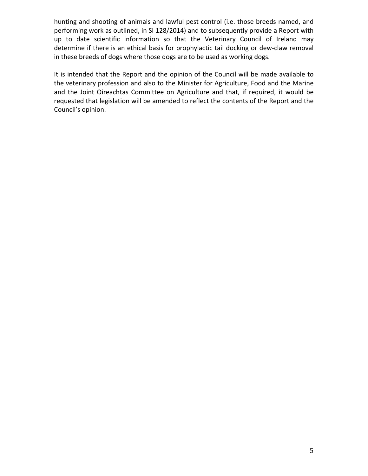hunting and shooting of animals and lawful pest control (i.e. those breeds named, and performing work as outlined, in SI 128/2014) and to subsequently provide a Report with up to date scientific information so that the Veterinary Council of Ireland may determine if there is an ethical basis for prophylactic tail docking or dew-claw removal in these breeds of dogs where those dogs are to be used as working dogs.

It is intended that the Report and the opinion of the Council will be made available to the veterinary profession and also to the Minister for Agriculture, Food and the Marine and the Joint Oireachtas Committee on Agriculture and that, if required, it would be requested that legislation will be amended to reflect the contents of the Report and the Council's opinion.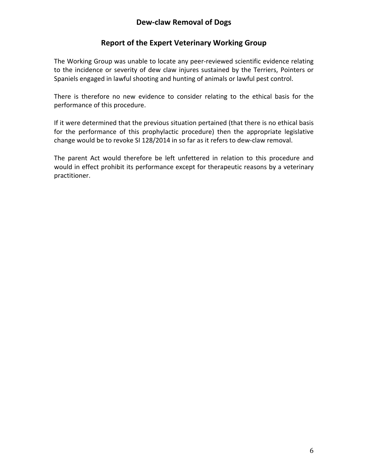# **Dew-claw Removal of Dogs**

# **Report of the Expert Veterinary Working Group**

The Working Group was unable to locate any peer-reviewed scientific evidence relating to the incidence or severity of dew claw injures sustained by the Terriers, Pointers or Spaniels engaged in lawful shooting and hunting of animals or lawful pest control.

There is therefore no new evidence to consider relating to the ethical basis for the performance of this procedure.

If it were determined that the previous situation pertained (that there is no ethical basis for the performance of this prophylactic procedure) then the appropriate legislative change would be to revoke SI 128/2014 in so far as it refers to dew-claw removal.

The parent Act would therefore be left unfettered in relation to this procedure and would in effect prohibit its performance except for therapeutic reasons by a veterinary practitioner.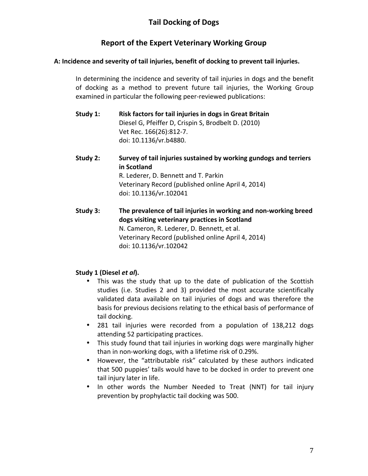# **Report of the Expert Veterinary Working Group**

## A: Incidence and severity of tail injuries, benefit of docking to prevent tail injuries.

In determining the incidence and severity of tail injuries in dogs and the benefit of docking as a method to prevent future tail injuries, the Working Group examined in particular the following peer-reviewed publications:

- **Study 1:** Risk factors for tail injuries in dogs in Great Britain Diesel G, Pfeiffer D, Crispin S, Brodbelt D. (2010) Vet Rec. 166(26):812-7. doi: 10.1136/vr.b4880.
- **Study 2:** Survey of tail injuries sustained by working gundogs and terriers **in Scotland** R. Lederer, D. Bennett and T. Parkin Veterinary Record (published online April 4, 2014) doi: 10.1136/vr.102041
- **Study 3:** The prevalence of tail injuries in working and non-working breed **dogs visiting veterinary practices in Scotland** N. Cameron, R. Lederer, D. Bennett, et al. Veterinary Record (published online April 4, 2014) doi: 10.1136/vr.102042

## **Study 1 (Diesel** *et al***).**

- This was the study that up to the date of publication of the Scottish studies (i.e. Studies 2 and 3) provided the most accurate scientifically validated data available on tail injuries of dogs and was therefore the basis for previous decisions relating to the ethical basis of performance of tail docking.
- 281 tail injuries were recorded from a population of 138,212 dogs attending 52 participating practices.
- This study found that tail injuries in working dogs were marginally higher than in non-working dogs, with a lifetime risk of 0.29%.
- However, the "attributable risk" calculated by these authors indicated that 500 puppies' tails would have to be docked in order to prevent one tail injury later in life.
- In other words the Number Needed to Treat (NNT) for tail injury prevention by prophylactic tail docking was 500.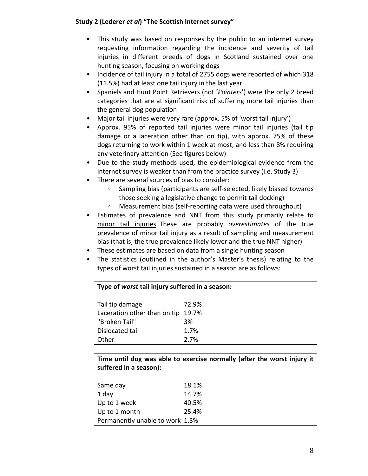## Study 2 (Lederer *et al*) "The Scottish Internet survey"

- This study was based on responses by the public to an internet survey requesting information regarding the incidence and severity of tail injuries in different breeds of dogs in Scotland sustained over one hunting season, focusing on working dogs
- Incidence of tail injury in a total of 2755 dogs were reported of which 318 (11.5%) had at least one tail injury in the last year
- Spaniels and Hunt Point Retrievers (not '*Pointers*') were the only 2 breed categories that are at significant risk of suffering more tail injuries than the general dog population
- Major tail injuries were very rare (approx. 5% of 'worst tail injury')
- Approx. 95% of reported tail injuries were minor tail injuries (tail tip damage or a laceration other than on tip), with approx. 75% of these dogs returning to work within 1 week at most, and less than 8% requiring any veterinary attention (See figures below)
- Due to the study methods used, the epidemiological evidence from the internet survey is weaker than from the practice survey (i.e. Study 3)
- There are several sources of bias to consider:
	- Sampling bias (participants are self-selected, likely biased towards those seeking a legislative change to permit tail docking)
	- Measurement bias (self-reporting data were used throughout)
- Estimates of prevalence and NNT from this study primarily relate to minor tail injuries. These are probably *overestimates* of the true prevalence of minor tail injury as a result of sampling and measurement bias (that is, the true prevalence likely lower and the true NNT higher)
- These estimates are based on data from a single hunting season
- The statistics (outlined in the author's Master's thesis) relating to the types of worst tail injuries sustained in a season are as follows:

| Type of worst tail injury suffered in a season: |       |  |
|-------------------------------------------------|-------|--|
| Tail tip damage                                 | 72.9% |  |
| Laceration other than on tip 19.7%              |       |  |
| "Broken Tail"                                   | 3%    |  |
| Dislocated tail                                 | 1.7%  |  |
| Other                                           | 2.7%  |  |

Time until dog was able to exercise normally (after the worst injury it suffered in a season):

| Same day                        | 18.1% |
|---------------------------------|-------|
| 1 day                           | 14.7% |
| Up to 1 week                    | 40.5% |
| Up to 1 month                   | 25.4% |
| Permanently unable to work 1.3% |       |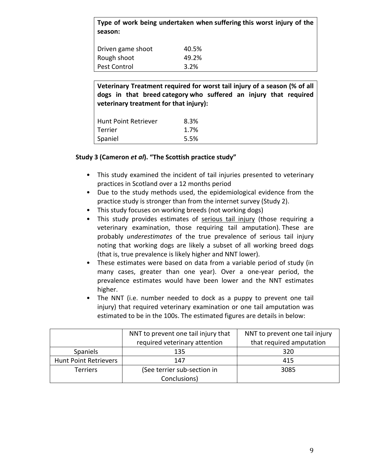**Type of work being undertaken when suffering this worst injury of the season:**

| Driven game shoot | 40.5% |
|-------------------|-------|
| Rough shoot       | 49.2% |
| Pest Control      | 3.2%  |

**Veterinary Treatment required for worst tail injury of a season (% of all** dogs in that breed category who suffered an injury that required **veterinary treatment for that injury):** 

| Hunt Point Retriever | 8.3% |
|----------------------|------|
| <b>Terrier</b>       | 1.7% |
| Spaniel              | 5.5% |

## **Study 3 (Cameron** *et al***). "The Scottish practice study"**

- This study examined the incident of tail injuries presented to veterinary practices in Scotland over a 12 months period
- Due to the study methods used, the epidemiological evidence from the practice study is stronger than from the internet survey (Study 2).
- This study focuses on working breeds (not working dogs)
- This study provides estimates of serious tail injury (those requiring a veterinary examination, those requiring tail amputation). These are probably *underestimates* of the true prevalence of serious tail injury noting that working dogs are likely a subset of all working breed dogs (that is, true prevalence is likely higher and NNT lower).
- These estimates were based on data from a variable period of study (in many cases, greater than one year). Over a one-year period, the prevalence estimates would have been lower and the NNT estimates higher.
- The NNT (i.e. number needed to dock as a puppy to prevent one tail injury) that required veterinary examination or one tail amputation was estimated to be in the 100s. The estimated figures are details in below:

|                              | NNT to prevent one tail injury that | NNT to prevent one tail injury |
|------------------------------|-------------------------------------|--------------------------------|
|                              | required veterinary attention       | that required amputation       |
| Spaniels                     | 135                                 | 320                            |
| <b>Hunt Point Retrievers</b> | 147                                 | 415                            |
| <b>Terriers</b>              | (See terrier sub-section in         | 3085                           |
|                              | Conclusions)                        |                                |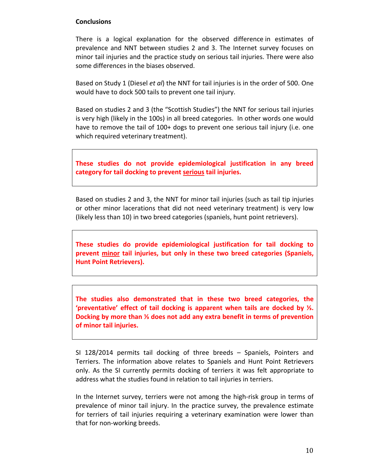#### **Conclusions**

There is a logical explanation for the observed difference in estimates of prevalence and NNT between studies 2 and 3. The Internet survey focuses on minor tail injuries and the practice study on serious tail injuries. There were also some differences in the biases observed.

Based on Study 1 (Diesel *et al*) the NNT for tail injuries is in the order of 500. One would have to dock 500 tails to prevent one tail injury.

Based on studies 2 and 3 (the "Scottish Studies") the NNT for serious tail injuries is very high (likely in the 100s) in all breed categories. In other words one would have to remove the tail of  $100+$  dogs to prevent one serious tail injury (i.e. one which required veterinary treatment).

**These studies do not provide epidemiological justification in any breed** category for tail docking to prevent serious tail injuries.

Based on studies 2 and 3, the NNT for minor tail injuries (such as tail tip injuries or other minor lacerations that did not need veterinary treatment) is very low (likely less than 10) in two breed categories (spaniels, hunt point retrievers).

These studies do provide epidemiological justification for tail docking to prevent minor tail injuries, but only in these two breed categories (Spaniels, **Hunt Point Retrievers).** 

The studies also demonstrated that in these two breed categories, the **'preventative' effect of tail docking is apparent when tails are docked by ¼. Docking by more than <sup>1/3</sup> does not add any extra benefit in terms of prevention of minor tail injuries.** 

SI 128/2014 permits tail docking of three breeds - Spaniels, Pointers and Terriers. The information above relates to Spaniels and Hunt Point Retrievers only. As the SI currently permits docking of terriers it was felt appropriate to address what the studies found in relation to tail injuries in terriers.

In the Internet survey, terriers were not among the high-risk group in terms of prevalence of minor tail injury. In the practice survey, the prevalence estimate for terriers of tail injuries requiring a veterinary examination were lower than that for non-working breeds.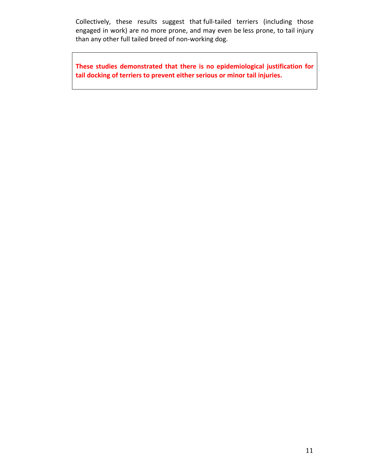Collectively, these results suggest that full-tailed terriers (including those engaged in work) are no more prone, and may even be less prone, to tail injury than any other full tailed breed of non-working dog.

These studies demonstrated that there is no epidemiological justification for tail docking of terriers to prevent either serious or minor tail injuries.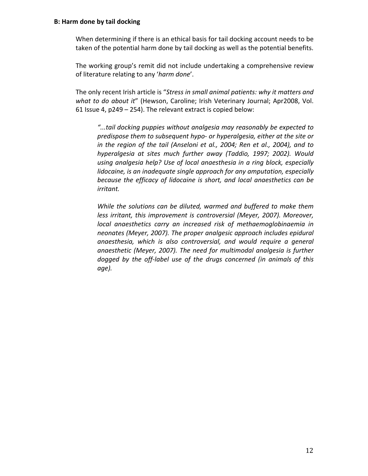#### **B: Harm done by tail docking**

When determining if there is an ethical basis for tail docking account needs to be taken of the potential harm done by tail docking as well as the potential benefits.

The working group's remit did not include undertaking a comprehensive review of literature relating to any 'harm done'.

The only recent Irish article is "*Stress in small animal patients:* why it matters and *what to do about it"* (Hewson, Caroline; Irish Veterinary Journal; Apr2008, Vol. 61 Issue 4,  $p249 - 254$ ). The relevant extract is copied below:

*"...tail docking puppies without analgesia may reasonably be expected to*  predispose them to subsequent hypo- or hyperalgesia, either at the site or *in* the region of the tail (Anseloni et al., 2004; Ren et al., 2004), and to *hyperalgesia at sites much further away (Taddio, 1997; 2002). Would* using analgesia help? Use of local anaesthesia in a ring block, especially *lidocaine, is an inadequate single approach for any amputation, especially because the efficacy of lidocaine is short, and local anaesthetics can be irritant.*

*While the solutions can be diluted, warmed and buffered to make them less irritant, this improvement is controversial (Meyer, 2007). Moreover, local* anaesthetics carry an increased risk of methaemoglobinaemia in neonates (Meyer, 2007). The proper analgesic approach includes epidural anaesthesia, which is also controversial, and would require a general anaesthetic (Meyer, 2007). The need for multimodal analgesia is further dogged by the off-label use of the drugs concerned (in animals of this *age).*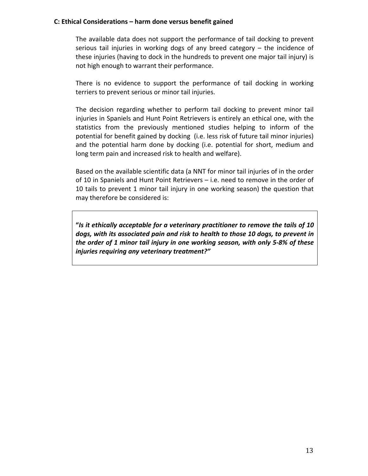#### C: Ethical Considerations – harm done versus benefit gained

The available data does not support the performance of tail docking to prevent serious tail injuries in working dogs of any breed category  $-$  the incidence of these injuries (having to dock in the hundreds to prevent one major tail injury) is not high enough to warrant their performance.

There is no evidence to support the performance of tail docking in working terriers to prevent serious or minor tail injuries.

The decision regarding whether to perform tail docking to prevent minor tail injuries in Spaniels and Hunt Point Retrievers is entirely an ethical one, with the statistics from the previously mentioned studies helping to inform of the potential for benefit gained by docking (i.e. less risk of future tail minor injuries) and the potential harm done by docking (i.e. potential for short, medium and long term pain and increased risk to health and welfare).

Based on the available scientific data (a NNT for minor tail injuries of in the order of 10 in Spaniels and Hunt Point Retrievers  $-$  i.e. need to remove in the order of 10 tails to prevent 1 minor tail injury in one working season) the question that may therefore be considered is:

"Is it ethically acceptable for a veterinary practitioner to remove the tails of 10 dogs, with its associated pain and risk to health to those 10 dogs, to prevent in *the order of 1 minor tail injury in one working season, with only 5-8% of these injuries requiring any veterinary treatment?"*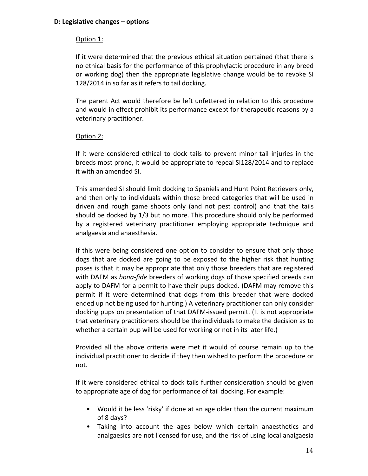#### **D: Legislative changes – options**

## Option 1:

If it were determined that the previous ethical situation pertained (that there is no ethical basis for the performance of this prophylactic procedure in any breed or working dog) then the appropriate legislative change would be to revoke SI 128/2014 in so far as it refers to tail docking.

The parent Act would therefore be left unfettered in relation to this procedure and would in effect prohibit its performance except for therapeutic reasons by a veterinary practitioner.

#### Option 2:

If it were considered ethical to dock tails to prevent minor tail injuries in the breeds most prone, it would be appropriate to repeal SI128/2014 and to replace it with an amended SI.

This amended SI should limit docking to Spaniels and Hunt Point Retrievers only, and then only to individuals within those breed categories that will be used in driven and rough game shoots only (and not pest control) and that the tails should be docked by 1/3 but no more. This procedure should only be performed by a registered veterinary practitioner employing appropriate technique and analgaesia and anaesthesia.

If this were being considered one option to consider to ensure that only those dogs that are docked are going to be exposed to the higher risk that hunting poses is that it may be appropriate that only those breeders that are registered with DAFM as *bona-fide* breeders of working dogs of those specified breeds can apply to DAFM for a permit to have their pups docked. (DAFM may remove this permit if it were determined that dogs from this breeder that were docked ended up not being used for hunting.) A veterinary practitioner can only consider docking pups on presentation of that DAFM-issued permit. (It is not appropriate that veterinary practitioners should be the individuals to make the decision as to whether a certain pup will be used for working or not in its later life.)

Provided all the above criteria were met it would of course remain up to the individual practitioner to decide if they then wished to perform the procedure or not.

If it were considered ethical to dock tails further consideration should be given to appropriate age of dog for performance of tail docking. For example:

- Would it be less 'risky' if done at an age older than the current maximum of 8 days?
- Taking into account the ages below which certain anaesthetics and analgaesics are not licensed for use, and the risk of using local analgaesia